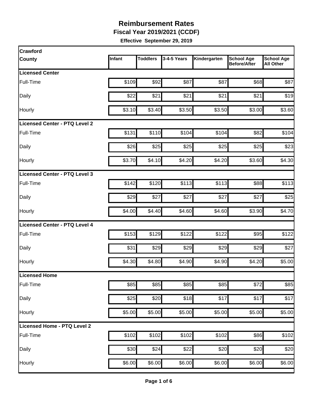**Fiscal Year 2019/2021 (CCDF)**

| <b>Crawford</b>               |        |                 |             |              |                                          |                                       |
|-------------------------------|--------|-----------------|-------------|--------------|------------------------------------------|---------------------------------------|
| <b>County</b>                 | Infant | <b>Toddlers</b> | 3-4-5 Years | Kindergarten | <b>School Age</b><br><b>Before/After</b> | <b>School Age</b><br><b>All Other</b> |
| <b>Licensed Center</b>        |        |                 |             |              |                                          |                                       |
| Full-Time                     | \$109  | \$92            | \$87        | \$87         | \$68                                     | \$87                                  |
| Daily                         | \$22   | \$21            | \$21        | \$21         | \$21                                     | \$19                                  |
| Hourly                        | \$3.10 | \$3.40          | \$3.50      | \$3.50       | \$3.00                                   | \$3.60                                |
| Licensed Center - PTQ Level 2 |        |                 |             |              |                                          |                                       |
| Full-Time                     | \$131  | \$110           | \$104       | \$104        | \$82                                     | \$104                                 |
| Daily                         | \$26   | \$25            | \$25        | \$25         | \$25                                     | \$23                                  |
| Hourly                        | \$3.70 | \$4.10          | \$4.20      | \$4.20       | \$3.60                                   | \$4.30                                |
| Licensed Center - PTQ Level 3 |        |                 |             |              |                                          |                                       |
| Full-Time                     | \$142  | \$120           | \$113       | \$113        | \$88                                     | \$113                                 |
| Daily                         | \$29   | \$27            | \$27        | \$27         | \$27                                     | \$25                                  |
| Hourly                        | \$4.00 | \$4.40          | \$4.60      | \$4.60       | \$3.90                                   | \$4.70                                |
| Licensed Center - PTQ Level 4 |        |                 |             |              |                                          |                                       |
| Full-Time                     | \$153  | \$129           | \$122       | \$122        | \$95                                     | \$122                                 |
| Daily                         | \$31   | \$29            | \$29        | \$29         | \$29                                     | \$27                                  |
| Hourly                        | \$4.30 | \$4.80          | \$4.90      | \$4.90       | \$4.20                                   | \$5.00                                |
| <b>Licensed Home</b>          |        |                 |             |              |                                          |                                       |
| Full-Time                     | \$85   | \$85            | \$85        | \$85         | \$72                                     | \$85                                  |
| Daily                         | \$25   | \$20            | \$18        | \$17         | \$17                                     | \$17                                  |
| Hourly                        | \$5.00 | \$5.00          | \$5.00      | \$5.00       | \$5.00                                   | \$5.00                                |
| Licensed Home - PTQ Level 2   |        |                 |             |              |                                          |                                       |
| Full-Time                     | \$102  | \$102           | \$102       | \$102        | \$86                                     | \$102                                 |
| Daily                         | \$30   | \$24            | \$22        | \$20         | \$20                                     | \$20                                  |
| Hourly                        | \$6.00 | \$6.00          | \$6.00      | \$6.00       | \$6.00                                   | \$6.00                                |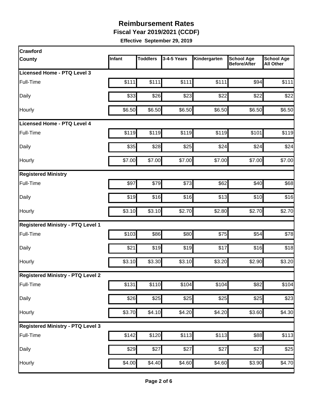**Fiscal Year 2019/2021 (CCDF)**

| Crawford                                 |        |                 |                  |              |                                          |                                       |
|------------------------------------------|--------|-----------------|------------------|--------------|------------------------------------------|---------------------------------------|
| County                                   | Infant | <b>Toddlers</b> | 3-4-5 Years      | Kindergarten | <b>School Age</b><br><b>Before/After</b> | <b>School Age</b><br><b>All Other</b> |
| <b>Licensed Home - PTQ Level 3</b>       |        |                 |                  |              |                                          |                                       |
| Full-Time                                | \$111  | \$111           | \$111            | \$111        | \$94                                     | \$111                                 |
| Daily                                    | \$33   | \$26            | \$23             | \$22         | \$22                                     | \$22                                  |
| Hourly                                   | \$6.50 | \$6.50          | \$6.50           | \$6.50       | \$6.50                                   | \$6.50                                |
| Licensed Home - PTQ Level 4              |        |                 |                  |              |                                          |                                       |
| Full-Time                                | \$119  | \$119           | \$119            | \$119        | \$101                                    | \$119                                 |
| Daily                                    | \$35   | \$28            | \$25             | \$24         | \$24                                     | \$24                                  |
| Hourly                                   | \$7.00 | \$7.00          | \$7.00           | \$7.00       | \$7.00                                   | \$7.00                                |
| <b>Registered Ministry</b>               |        |                 |                  |              |                                          |                                       |
| Full-Time                                | \$97   | \$79            | \$73             | \$62         | \$40                                     | \$68                                  |
| Daily                                    | \$19   | \$16            | \$16             | \$13         | \$10                                     | \$16                                  |
| Hourly                                   | \$3.10 | \$3.10          | \$2.70           | \$2.80       | \$2.70                                   | \$2.70                                |
| <b>Registered Ministry - PTQ Level 1</b> |        |                 |                  |              |                                          |                                       |
| Full-Time                                | \$103  | \$86            | \$80             | \$75         | \$54                                     | \$78                                  |
| Daily                                    | \$21   | \$19            | \$19             | \$17         | \$16                                     | \$18                                  |
| Hourly                                   | \$3.10 | \$3.30          | \$3.10           | \$3.20       | \$2.90                                   | \$3.20                                |
| <b>Registered Ministry - PTQ Level 2</b> |        |                 |                  |              |                                          |                                       |
| Full-Time                                | \$131  | \$110           | \$104            | \$104        | \$82                                     | \$104                                 |
| Daily                                    | \$26   | \$25            | $\overline{$}25$ | \$25         | \$25                                     | \$23                                  |
| Hourly                                   | \$3.70 | \$4.10          | \$4.20           | \$4.20       | \$3.60                                   | \$4.30                                |
| <b>Registered Ministry - PTQ Level 3</b> |        |                 |                  |              |                                          |                                       |
| Full-Time                                | \$142  | \$120           | \$113            | \$113        | \$88                                     | \$113                                 |
| Daily                                    | \$29   | \$27            | \$27             | \$27         | \$27                                     | \$25                                  |
| Hourly                                   | \$4.00 | \$4.40          | \$4.60           | \$4.60       | \$3.90                                   | \$4.70                                |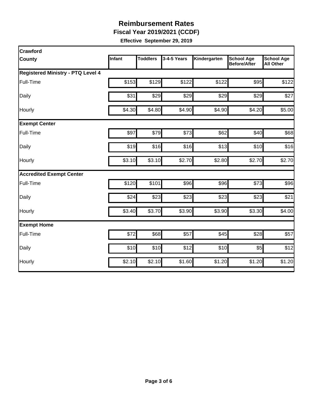**Fiscal Year 2019/2021 (CCDF)**

| Crawford                                 |        |                 |             |              |                                          |                                       |
|------------------------------------------|--------|-----------------|-------------|--------------|------------------------------------------|---------------------------------------|
| <b>County</b>                            | Infant | <b>Toddlers</b> | 3-4-5 Years | Kindergarten | <b>School Age</b><br><b>Before/After</b> | <b>School Age</b><br><b>All Other</b> |
| <b>Registered Ministry - PTQ Level 4</b> |        |                 |             |              |                                          |                                       |
| Full-Time                                | \$153  | \$129           | \$122       | \$122        | \$95                                     | \$122                                 |
| Daily                                    | \$31   | \$29            | \$29        | \$29         | \$29                                     | \$27                                  |
| Hourly                                   | \$4.30 | \$4.80          | \$4.90      | \$4.90       | \$4.20                                   | \$5.00                                |
| <b>Exempt Center</b>                     |        |                 |             |              |                                          |                                       |
| Full-Time                                | \$97   | \$79            | \$73        | \$62         | \$40                                     | \$68                                  |
| Daily                                    | \$19   | \$16            | \$16        | \$13         | \$10                                     | \$16                                  |
| Hourly                                   | \$3.10 | \$3.10          | \$2.70      | \$2.80       | \$2.70                                   | \$2.70                                |
| <b>Accredited Exempt Center</b>          |        |                 |             |              |                                          |                                       |
| Full-Time                                | \$120  | \$101           | \$96        | \$96         | \$73                                     | \$96                                  |
| Daily                                    | \$24   | \$23            | \$23        | \$23         | \$23                                     | \$21                                  |
| Hourly                                   | \$3.40 | \$3.70          | \$3.90      | \$3.90       | \$3.30                                   | \$4.00                                |
| <b>Exempt Home</b>                       |        |                 |             |              |                                          |                                       |
| Full-Time                                | \$72   | \$68            | \$57        | \$45         | \$28                                     | \$57                                  |
| Daily                                    | \$10   | \$10            | \$12        | \$10         | \$5                                      | \$12                                  |
| Hourly                                   | \$2.10 | \$2.10          | \$1.60      | \$1.20       | \$1.20                                   | \$1.20                                |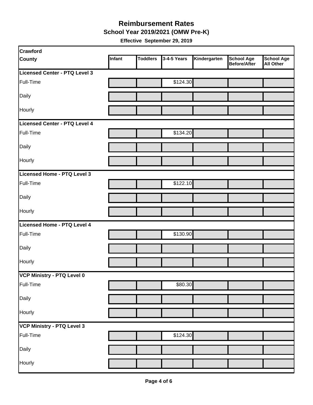#### **School Year 2019/2021 (OMW Pre-K) Reimbursement Rates**

| <b>Crawford</b>                      |        |                 |             |              |                                   |                                       |
|--------------------------------------|--------|-----------------|-------------|--------------|-----------------------------------|---------------------------------------|
| <b>County</b>                        | Infant | <b>Toddlers</b> | 3-4-5 Years | Kindergarten | <b>School Age</b><br>Before/After | <b>School Age</b><br><b>All Other</b> |
| <b>Licensed Center - PTQ Level 3</b> |        |                 |             |              |                                   |                                       |
| Full-Time                            |        |                 | \$124.30    |              |                                   |                                       |
| Daily                                |        |                 |             |              |                                   |                                       |
| Hourly                               |        |                 |             |              |                                   |                                       |
| <b>Licensed Center - PTQ Level 4</b> |        |                 |             |              |                                   |                                       |
| Full-Time                            |        |                 | \$134.20    |              |                                   |                                       |
| Daily                                |        |                 |             |              |                                   |                                       |
| Hourly                               |        |                 |             |              |                                   |                                       |
| Licensed Home - PTQ Level 3          |        |                 |             |              |                                   |                                       |
| Full-Time                            |        |                 | \$122.10    |              |                                   |                                       |
| Daily                                |        |                 |             |              |                                   |                                       |
| Hourly                               |        |                 |             |              |                                   |                                       |
| <b>Licensed Home - PTQ Level 4</b>   |        |                 |             |              |                                   |                                       |
| Full-Time                            |        |                 | \$130.90    |              |                                   |                                       |
| Daily                                |        |                 |             |              |                                   |                                       |
| Hourly                               |        |                 |             |              |                                   |                                       |
| VCP Ministry - PTQ Level 0           |        |                 |             |              |                                   |                                       |
| Full-Time                            |        |                 | \$80.30     |              |                                   |                                       |
| Daily                                |        |                 |             |              |                                   |                                       |
| Hourly                               |        |                 |             |              |                                   |                                       |
| <b>VCP Ministry - PTQ Level 3</b>    |        |                 |             |              |                                   |                                       |
| Full-Time                            |        |                 | \$124.30    |              |                                   |                                       |
| Daily                                |        |                 |             |              |                                   |                                       |
| Hourly                               |        |                 |             |              |                                   |                                       |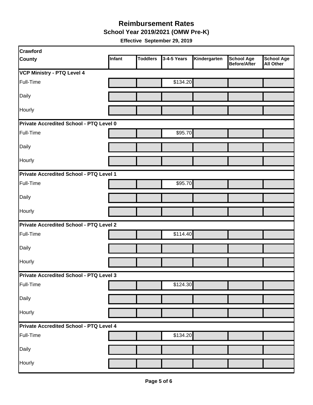**School Year 2019/2021 (OMW Pre-K)**

| Crawford                                       |        |                 |             |              |                                   |                                       |
|------------------------------------------------|--------|-----------------|-------------|--------------|-----------------------------------|---------------------------------------|
| <b>County</b>                                  | Infant | <b>Toddlers</b> | 3-4-5 Years | Kindergarten | <b>School Age</b><br>Before/After | <b>School Age</b><br><b>All Other</b> |
| <b>VCP Ministry - PTQ Level 4</b>              |        |                 |             |              |                                   |                                       |
| Full-Time                                      |        |                 | \$134.20    |              |                                   |                                       |
| Daily                                          |        |                 |             |              |                                   |                                       |
| Hourly                                         |        |                 |             |              |                                   |                                       |
| Private Accredited School - PTQ Level 0        |        |                 |             |              |                                   |                                       |
| Full-Time                                      |        |                 | \$95.70     |              |                                   |                                       |
| Daily                                          |        |                 |             |              |                                   |                                       |
| Hourly                                         |        |                 |             |              |                                   |                                       |
| Private Accredited School - PTQ Level 1        |        |                 |             |              |                                   |                                       |
| Full-Time                                      |        |                 | \$95.70     |              |                                   |                                       |
| Daily                                          |        |                 |             |              |                                   |                                       |
| Hourly                                         |        |                 |             |              |                                   |                                       |
| <b>Private Accredited School - PTQ Level 2</b> |        |                 |             |              |                                   |                                       |
| Full-Time                                      |        |                 | \$114.40    |              |                                   |                                       |
| Daily                                          |        |                 |             |              |                                   |                                       |
| Hourly                                         |        |                 |             |              |                                   |                                       |
| Private Accredited School - PTQ Level 3        |        |                 |             |              |                                   |                                       |
| Full-Time                                      |        |                 | \$124.30    |              |                                   |                                       |
| Daily                                          |        |                 |             |              |                                   |                                       |
| Hourly                                         |        |                 |             |              |                                   |                                       |
| Private Accredited School - PTQ Level 4        |        |                 |             |              |                                   |                                       |
| Full-Time                                      |        |                 | \$134.20    |              |                                   |                                       |
| Daily                                          |        |                 |             |              |                                   |                                       |
| Hourly                                         |        |                 |             |              |                                   |                                       |